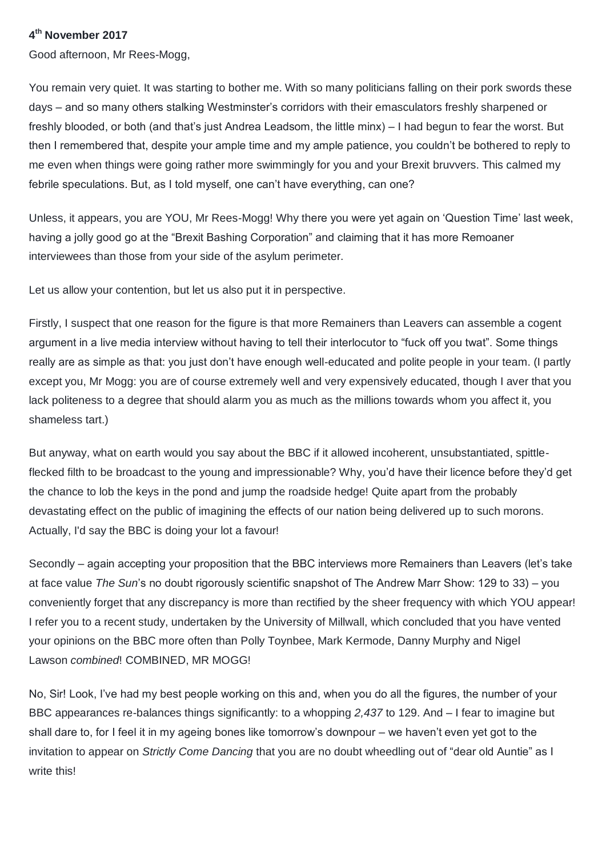## **4 th November 2017**

Good afternoon, Mr Rees-Mogg,

You remain very quiet. It was starting to bother me. With so many politicians falling on their pork swords these days – and so many others stalking Westminster's corridors with their emasculators freshly sharpened or freshly blooded, or both (and that's just Andrea Leadsom, the little minx) – I had begun to fear the worst. But then I remembered that, despite your ample time and my ample patience, you couldn't be bothered to reply to me even when things were going rather more swimmingly for you and your Brexit bruvvers. This calmed my febrile speculations. But, as I told myself, one can't have everything, can one?

Unless, it appears, you are YOU, Mr Rees-Mogg! Why there you were yet again on 'Question Time' last week, having a jolly good go at the "Brexit Bashing Corporation" and claiming that it has more Remoaner interviewees than those from your side of the asylum perimeter.

Let us allow your contention, but let us also put it in perspective.

Firstly, I suspect that one reason for the figure is that more Remainers than Leavers can assemble a cogent argument in a live media interview without having to tell their interlocutor to "fuck off you twat". Some things really are as simple as that: you just don't have enough well-educated and polite people in your team. (I partly except you, Mr Mogg: you are of course extremely well and very expensively educated, though I aver that you lack politeness to a degree that should alarm you as much as the millions towards whom you affect it, you shameless tart.)

But anyway, what on earth would you say about the BBC if it allowed incoherent, unsubstantiated, spittleflecked filth to be broadcast to the young and impressionable? Why, you'd have their licence before they'd get the chance to lob the keys in the pond and jump the roadside hedge! Quite apart from the probably devastating effect on the public of imagining the effects of our nation being delivered up to such morons. Actually, I'd say the BBC is doing your lot a favour!

Secondly – again accepting your proposition that the BBC interviews more Remainers than Leavers (let's take at face value *The Sun*'s no doubt rigorously scientific snapshot of The Andrew Marr Show: 129 to 33) – you conveniently forget that any discrepancy is more than rectified by the sheer frequency with which YOU appear! I refer you to a recent study, undertaken by the University of Millwall, which concluded that you have vented your opinions on the BBC more often than Polly Toynbee, Mark Kermode, Danny Murphy and Nigel Lawson *combined*! COMBINED, MR MOGG!

No, Sir! Look, I've had my best people working on this and, when you do all the figures, the number of your BBC appearances re-balances things significantly: to a whopping *2,437* to 129. And – I fear to imagine but shall dare to, for I feel it in my ageing bones like tomorrow's downpour – we haven't even yet got to the invitation to appear on *Strictly Come Dancing* that you are no doubt wheedling out of "dear old Auntie" as I write this!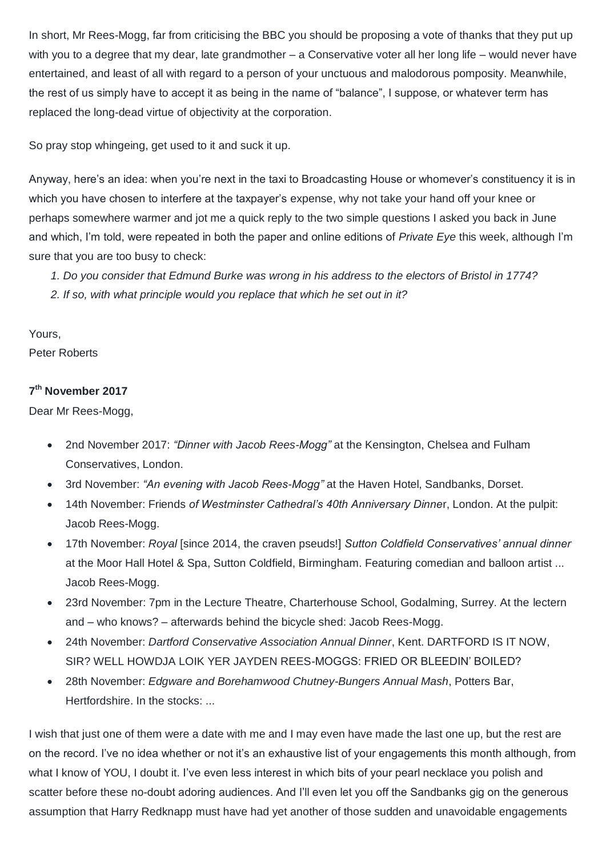In short, Mr Rees-Mogg, far from criticising the BBC you should be proposing a vote of thanks that they put up with you to a degree that my dear, late grandmother – a Conservative voter all her long life – would never have entertained, and least of all with regard to a person of your unctuous and malodorous pomposity. Meanwhile, the rest of us simply have to accept it as being in the name of "balance", I suppose, or whatever term has replaced the long-dead virtue of objectivity at the corporation.

So pray stop whingeing, get used to it and suck it up.

Anyway, here's an idea: when you're next in the taxi to Broadcasting House or whomever's constituency it is in which you have chosen to interfere at the taxpayer's expense, why not take your hand off your knee or perhaps somewhere warmer and jot me a quick reply to the two simple questions I asked you back in June and which, I'm told, were repeated in both the paper and online editions of *Private Eye* this week, although I'm sure that you are too busy to check:

- *1. Do you consider that Edmund Burke was wrong in his address to the electors of Bristol in 1774?*
- *2. If so, with what principle would you replace that which he set out in it?*

Yours,

Peter Roberts

## **7 th November 2017**

Dear Mr Rees-Mogg,

- 2nd November 2017: *"Dinner with Jacob Rees-Mogg"* at the Kensington, Chelsea and Fulham Conservatives, London.
- 3rd November: *"An evening with Jacob Rees-Mogg"* at the Haven Hotel, Sandbanks, Dorset.
- 14th November: Friends *of Westminster Cathedral's 40th Anniversary Dinne*r, London. At the pulpit: Jacob Rees-Mogg.
- 17th November: *Royal* [since 2014, the craven pseuds!] *Sutton Coldfield Conservatives' annual dinner* at the Moor Hall Hotel & Spa, Sutton Coldfield, Birmingham. Featuring comedian and balloon artist ... Jacob Rees-Mogg.
- 23rd November: 7pm in the Lecture Theatre, Charterhouse School, Godalming, Surrey. At the lectern and – who knows? – afterwards behind the bicycle shed: Jacob Rees-Mogg.
- 24th November: *Dartford Conservative Association Annual Dinner*, Kent. DARTFORD IS IT NOW, SIR? WELL HOWDJA LOIK YER JAYDEN REES-MOGGS: FRIED OR BLEEDIN' BOILED?
- 28th November: *Edgware and Borehamwood Chutney-Bungers Annual Mash*, Potters Bar, Hertfordshire. In the stocks: ...

I wish that just one of them were a date with me and I may even have made the last one up, but the rest are on the record. I've no idea whether or not it's an exhaustive list of your engagements this month although, from what I know of YOU, I doubt it. I've even less interest in which bits of your pearl necklace you polish and scatter before these no-doubt adoring audiences. And I'll even let you off the Sandbanks gig on the generous assumption that Harry Redknapp must have had yet another of those sudden and unavoidable engagements